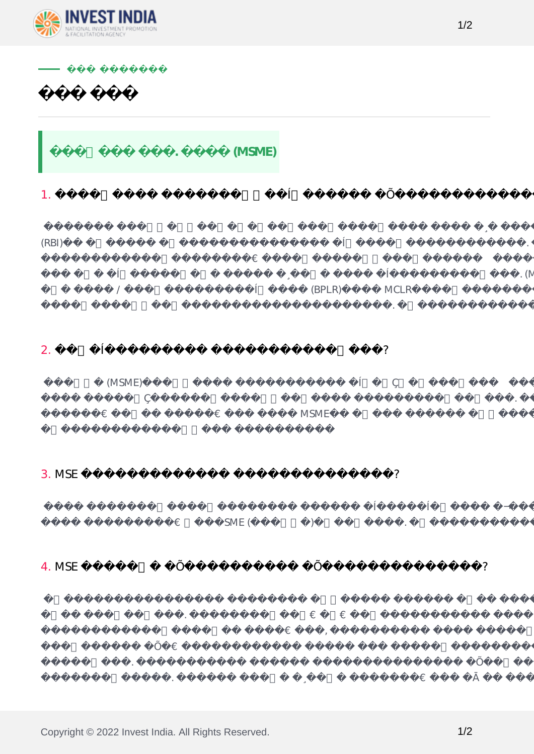

|        |                          | <b>(MSME)</b><br>$\bullet$ |                                                 |             |
|--------|--------------------------|----------------------------|-------------------------------------------------|-------------|
| 1.     |                          |                            |                                                 |             |
| (RBI)  | $\overline{\phantom{a}}$ |                            | $\ddot{\phantom{a}}$                            | (BPLR) MCLR |
| 2.     |                          |                            |                                                 | $\ddot{?}$  |
|        | (MSME)                   |                            | $\ensuremath{\mathsf{MSME}}$<br>$\sim 10^{-11}$ |             |
| 3. MSE |                          |                            |                                                 | $\ddot{?}$  |
|        |                          | MSME (                     | $\mathcal{E}$                                   | $\bullet$   |
| 4. MSE |                          |                            |                                                 | $45\,$      |
|        |                          |                            | $\, ,$                                          |             |

할 책임이 있습니다. 미결제 금액과 관련하여 분쟁이있는 경우 각 주 정부가 구성한 소기업